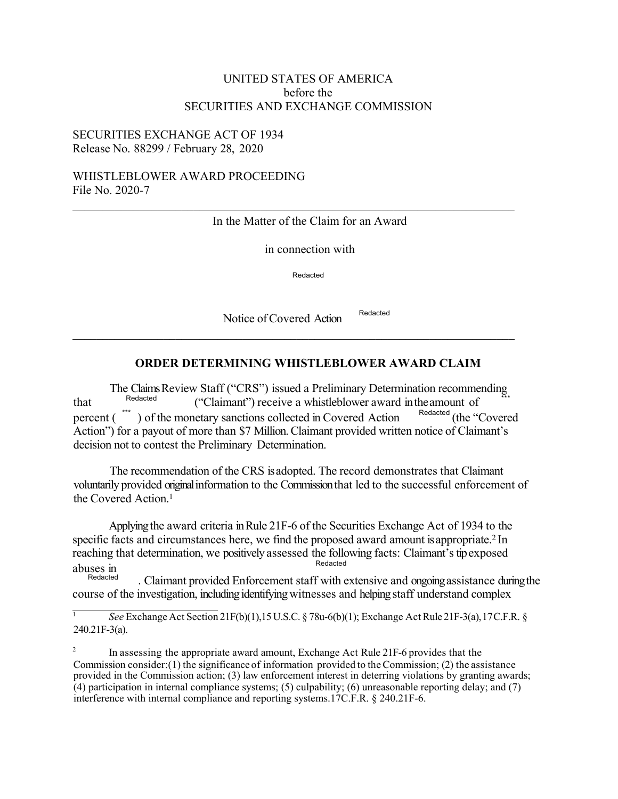# UNITED STATES OF AMERICA before the SECURITIES AND EXCHANGE COMMISSION

## SECURITIES EXCHANGE ACT OF 1934 Release No. 88299 / February 28, 2020

### WHISTLEBLOWER AWARD PROCEEDING File No. 2020-7

#### In the Matter of the Claim for an Award

 $\_$  , and the set of the set of the set of the set of the set of the set of the set of the set of the set of the set of the set of the set of the set of the set of the set of the set of the set of the set of the set of th

in connection with

Redacted

Notice of Covered Action Redacted

# **ORDER DETERMINING WHISTLEBLOWER AWARD CLAIM**

The Claims Review Staff ("CRS") issued a Preliminary Determination recommending<br>Redacted ("Claims of") movies a related al large space of independent of that  $\frac{\text{Redacted}}{\text{reccent } f}$  ("Claimant") receive a whistleblower award in the amount of  $\frac{\text{recaited}}{\text{Redated}}$  (the "Covered percent  $\binom{m}{k}$  of the monetary sanctions collected in Covered Action Action") for a payout of more than \$7 Million. Claimant provided written notice of Claimant's decision not to contest the Preliminary Determination.

The recommendation of the CRS is adopted. The record demonstrates that Claimant voluntarily provided original information to the Commission that led to the successful enforcement of the Covered Action.<sup>1</sup>

Applying the award criteria in Rule 21F-6 of the Securities Exchange Act of 1934 to the specific facts and circumstances here, we find the proposed award amount is appropriate.<sup>2</sup> In reaching that determination, we positively assessed the following facts: Claimant's tip exposed abuses in Redacted

Redacted . Claimant provided Enforcement staff with extensive and ongoing assistance during the course of the investigation, including identifying witnesses and helping staff understand complex

<sup>2</sup> In assessing the appropriate award amount, Exchange Act Rule 21F-6 provides that the Commission consider:(1) the significance of information provided to the Commission; (2) the assistance provided in the Commission action; (3) law enforcement interest in deterring violations by granting awards; (4) participation in internal compliance systems; (5) culpability; (6) unreasonable reporting delay; and (7) interference with internal compliance and reporting systems.17C.F.R. § 240.21F-6.

<sup>1</sup> *See* ExchangeAct Section 21F(b)(1),15U.S.C. § 78u-6(b)(1); Exchange Act Rule 21F-3(a),17C.F.R. §  $240.21F-3(a)$ .